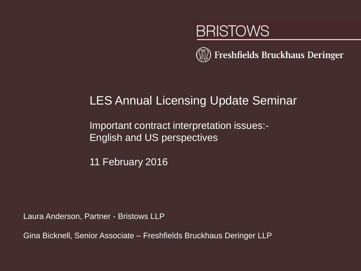# **BRISTOWS**



### LES Annual Licensing Update Seminar

Important contract interpretation issues:- English and US perspectives

11 February 2016

Laura Anderson, Partner - Bristows LLP

Gina Bicknell, Senior Associate – Freshfields Bruckhaus Deringer LLP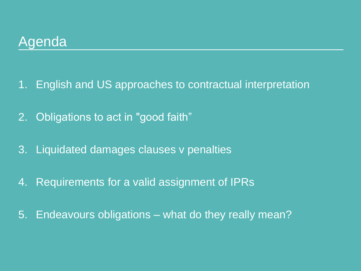### Agenda

- 1. English and US approaches to contractual interpretation
- 2. Obligations to act in "good faith"
- 3. Liquidated damages clauses v penalties
- 4. Requirements for a valid assignment of IPRs
- 5. Endeavours obligations what do they really mean?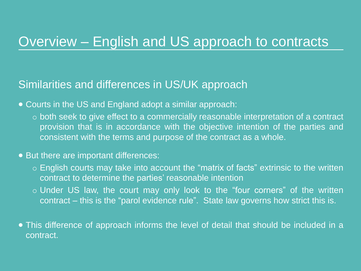### Overview – English and US approach to contracts

#### Similarities and differences in US/UK approach

- Courts in the US and England adopt a similar approach:
	- both seek to give effect to a commercially reasonable interpretation of a contract provision that is in accordance with the objective intention of the parties and consistent with the terms and purpose of the contract as a whole.

#### • But there are important differences:

- English courts may take into account the "matrix of facts" extrinsic to the written contract to determine the parties' reasonable intention
- $\circ$  Under US law, the court may only look to the "four corners" of the written contract – this is the "parol evidence rule". State law governs how strict this is.
- This difference of approach informs the level of detail that should be included in a contract.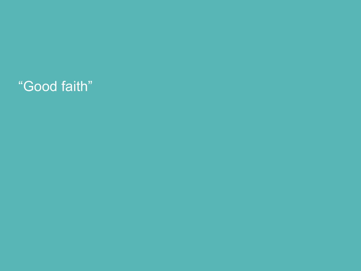# "Good faith"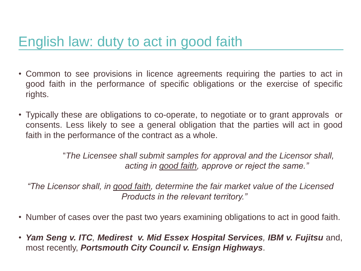- Common to see provisions in licence agreements requiring the parties to act in good faith in the performance of specific obligations or the exercise of specific rights.
- Typically these are obligations to co-operate, to negotiate or to grant approvals or consents. Less likely to see a general obligation that the parties will act in good faith in the performance of the contract as a whole.

"*The Licensee shall submit samples for approval and the Licensor shall, acting in good faith, approve or reject the same."*

*"The Licensor shall, in good faith, determine the fair market value of the Licensed Products in the relevant territory."*

- Number of cases over the past two years examining obligations to act in good faith.
- *Yam Seng v. ITC, Medirest v. Mid Essex Hospital Services, IBM v. Fujitsu* and, most recently, *Portsmouth City Council v. Ensign Highways*.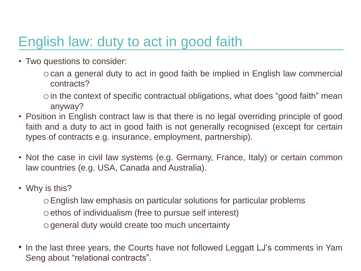• Two questions to consider:

ocan a general duty to act in good faith be implied in English law commercial contracts?

 $\circ$  in the context of specific contractual obligations, what does "good faith" mean anyway?

- Position in English contract law is that there is no legal overriding principle of good faith and a duty to act in good faith is not generally recognised (except for certain types of contracts e.g. insurance, employment, partnership).
- Not the case in civil law systems (e.g. Germany, France, Italy) or certain common law countries (e.g. USA, Canada and Australia).
- Why is this?

oEnglish law emphasis on particular solutions for particular problems

o ethos of individualism (free to pursue self interest)

ogeneral duty would create too much uncertainty

• In the last three years, the Courts have not followed Leggatt LJ's comments in Yam Seng about "relational contracts".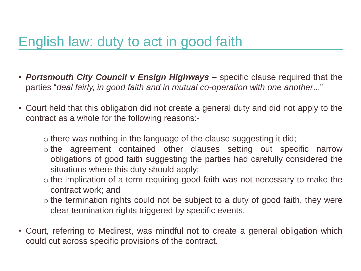- *Portsmouth City Council v Ensign Highways –* specific clause required that the parties "*deal fairly, in good faith and in mutual co-operation with one another*..."
- Court held that this obligation did not create a general duty and did not apply to the contract as a whole for the following reasons:
	- o there was nothing in the language of the clause suggesting it did;
	- o the agreement contained other clauses setting out specific narrow obligations of good faith suggesting the parties had carefully considered the situations where this duty should apply;
	- o the implication of a term requiring good faith was not necessary to make the contract work; and
	- o the termination rights could not be subject to a duty of good faith, they were clear termination rights triggered by specific events.
- Court, referring to Medirest, was mindful not to create a general obligation which could cut across specific provisions of the contract.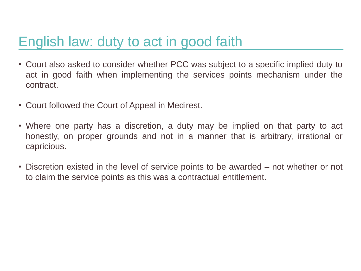- Court also asked to consider whether PCC was subject to a specific implied duty to act in good faith when implementing the services points mechanism under the contract.
- Court followed the Court of Appeal in Medirest.
- Where one party has a discretion, a duty may be implied on that party to act honestly, on proper grounds and not in a manner that is arbitrary, irrational or capricious.
- Discretion existed in the level of service points to be awarded not whether or not to claim the service points as this was a contractual entitlement.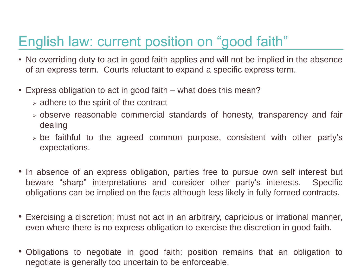# English law: current position on "good faith"

- No overriding duty to act in good faith applies and will not be implied in the absence of an express term. Courts reluctant to expand a specific express term.
- Express obligation to act in good faith what does this mean?
	- $\geq$  adhere to the spirit of the contract
	- $\geq$  observe reasonable commercial standards of honesty, transparency and fair dealing
	- $\geq$  be faithful to the agreed common purpose, consistent with other party's expectations.
- In absence of an express obligation, parties free to pursue own self interest but beware "sharp" interpretations and consider other party's interests. Specific obligations can be implied on the facts although less likely in fully formed contracts.
- Exercising a discretion: must not act in an arbitrary, capricious or irrational manner, even where there is no express obligation to exercise the discretion in good faith.
- Obligations to negotiate in good faith: position remains that an obligation to negotiate is generally too uncertain to be enforceable.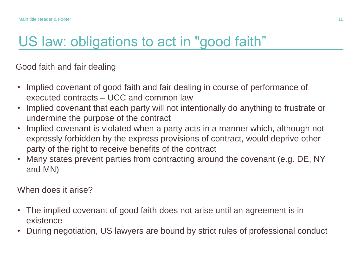## US law: obligations to act in "good faith"

Good faith and fair dealing

- Implied covenant of good faith and fair dealing in course of performance of executed contracts – UCC and common law
- Implied covenant that each party will not intentionally do anything to frustrate or undermine the purpose of the contract
- Implied covenant is violated when a party acts in a manner which, although not expressly forbidden by the express provisions of contract, would deprive other party of the right to receive benefits of the contract
- Many states prevent parties from contracting around the covenant (e.g. DE, NY and MN)

When does it arise?

- The implied covenant of good faith does not arise until an agreement is in existence
- During negotiation, US lawyers are bound by strict rules of professional conduct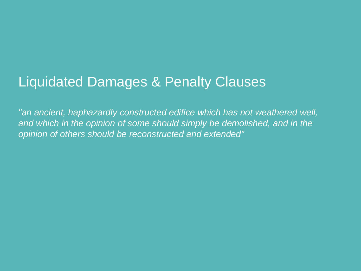# Liquidated Damages & Penalty Clauses

*"an ancient, haphazardly constructed edifice which has not weathered well,*  and which in the opinion of some should simply be demolished, and in the *opinion of others should be reconstructed and extended"*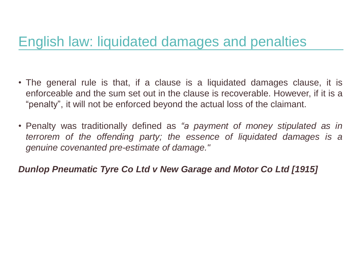- The general rule is that, if a clause is a liquidated damages clause, it is enforceable and the sum set out in the clause is recoverable. However, if it is a "penalty", it will not be enforced beyond the actual loss of the claimant.
- Penalty was traditionally defined as *"a payment of money stipulated as in terrorem of the offending party; the essence of liquidated damages is a genuine covenanted pre-estimate of damage."*

#### *Dunlop Pneumatic Tyre Co Ltd v New Garage and Motor Co Ltd [1915]*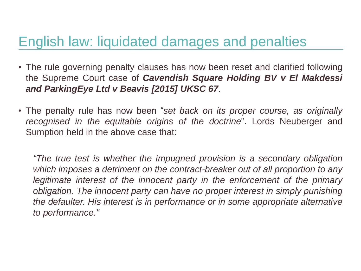- The rule governing penalty clauses has now been reset and clarified following the Supreme Court case of *Cavendish Square Holding BV v El Makdessi and ParkingEye Ltd v Beavis [2015] UKSC 67*.
- The penalty rule has now been "*set back on its proper course, as originally recognised in the equitable origins of the doctrine*". Lords Neuberger and Sumption held in the above case that:

*"The true test is whether the impugned provision is a secondary obligation which imposes a detriment on the contract-breaker out of all proportion to any legitimate interest of the innocent party in the enforcement of the primary obligation. The innocent party can have no proper interest in simply punishing the defaulter. His interest is in performance or in some appropriate alternative to performance."*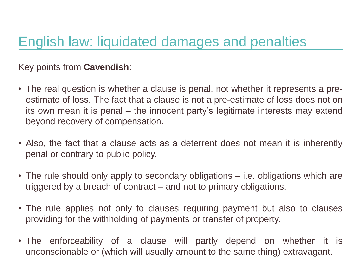Key points from **Cavendish**:

- The real question is whether a clause is penal, not whether it represents a preestimate of loss. The fact that a clause is not a pre-estimate of loss does not on its own mean it is penal – the innocent party's legitimate interests may extend beyond recovery of compensation.
- Also, the fact that a clause acts as a deterrent does not mean it is inherently penal or contrary to public policy.
- The rule should only apply to secondary obligations i.e. obligations which are triggered by a breach of contract – and not to primary obligations.
- The rule applies not only to clauses requiring payment but also to clauses providing for the withholding of payments or transfer of property.
- The enforceability of a clause will partly depend on whether it is unconscionable or (which will usually amount to the same thing) extravagant.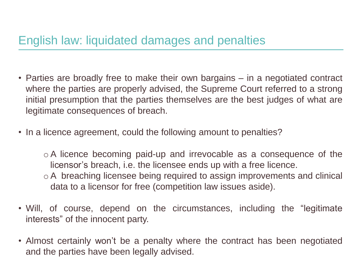- Parties are broadly free to make their own bargains in a negotiated contract where the parties are properly advised, the Supreme Court referred to a strong initial presumption that the parties themselves are the best judges of what are legitimate consequences of breach.
- In a licence agreement, could the following amount to penalties?

o A licence becoming paid-up and irrevocable as a consequence of the licensor's breach, i.e. the licensee ends up with a free licence.

- o A breaching licensee being required to assign improvements and clinical data to a licensor for free (competition law issues aside).
- Will, of course, depend on the circumstances, including the "legitimate interests" of the innocent party.
- Almost certainly won't be a penalty where the contract has been negotiated and the parties have been legally advised.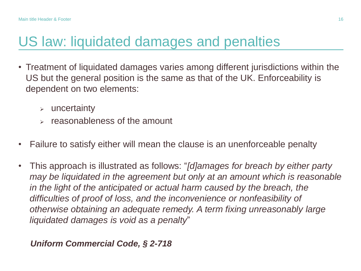## US law: liquidated damages and penalties

- Treatment of liquidated damages varies among different jurisdictions within the US but the general position is the same as that of the UK. Enforceability is dependent on two elements:
	- $\triangleright$  uncertainty
	- $\epsilon$  reasonableness of the amount
- Failure to satisfy either will mean the clause is an unenforceable penalty
- This approach is illustrated as follows: "*[d]amages for breach by either party may be liquidated in the agreement but only at an amount which is reasonable in the light of the anticipated or actual harm caused by the breach, the difficulties of proof of loss, and the inconvenience or nonfeasibility of otherwise obtaining an adequate remedy. A term fixing unreasonably large liquidated damages is void as a penalty*"

#### *Uniform Commercial Code, § 2-718*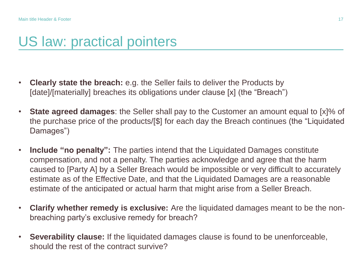### US law: practical pointers

- **Clearly state the breach:** e.g. the Seller fails to deliver the Products by [date]/[materially] breaches its obligations under clause [x] (the "Breach")
- **State agreed damages**: the Seller shall pay to the Customer an amount equal to [x]% of the purchase price of the products/[\$] for each day the Breach continues (the "Liquidated Damages")
- **Include "no penalty":** The parties intend that the Liquidated Damages constitute compensation, and not a penalty. The parties acknowledge and agree that the harm caused to [Party A] by a Seller Breach would be impossible or very difficult to accurately estimate as of the Effective Date, and that the Liquidated Damages are a reasonable estimate of the anticipated or actual harm that might arise from a Seller Breach.
- **Clarify whether remedy is exclusive:** Are the liquidated damages meant to be the nonbreaching party's exclusive remedy for breach?
- **Severability clause:** If the liquidated damages clause is found to be unenforceable, should the rest of the contract survive?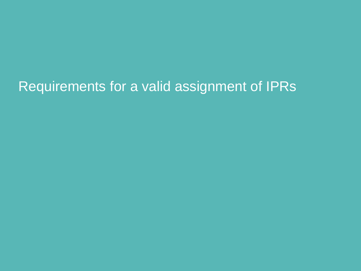# Requirements for a valid assignment of IPRs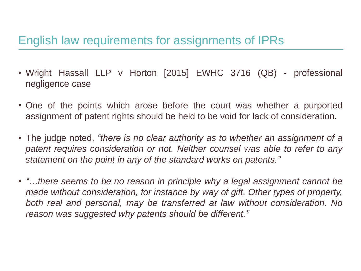### English law requirements for assignments of IPRs

- Wright Hassall LLP v Horton [2015] EWHC 3716 (QB) professional negligence case
- One of the points which arose before the court was whether a purported assignment of patent rights should be held to be void for lack of consideration.
- The judge noted, *"there is no clear authority as to whether an assignment of a patent requires consideration or not. Neither counsel was able to refer to any statement on the point in any of the standard works on patents."*
- *"…there seems to be no reason in principle why a legal assignment cannot be made without consideration, for instance by way of gift. Other types of property, both real and personal, may be transferred at law without consideration. No reason was suggested why patents should be different."*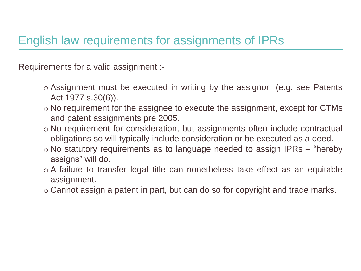### English law requirements for assignments of IPRs

Requirements for a valid assignment :-

- o Assignment must be executed in writing by the assignor (e.g. see Patents Act 1977 s.30(6)).
- o No requirement for the assignee to execute the assignment, except for CTMs and patent assignments pre 2005.
- o No requirement for consideration, but assignments often include contractual obligations so will typically include consideration or be executed as a deed.
- $\circ$  No statutory requirements as to language needed to assign IPRs "hereby" assigns" will do.
- o A failure to transfer legal title can nonetheless take effect as an equitable assignment.
- o Cannot assign a patent in part, but can do so for copyright and trade marks.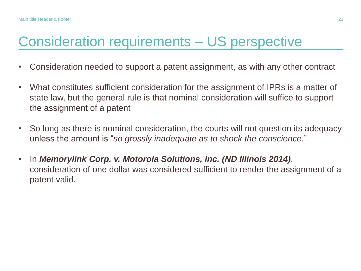## Consideration requirements – US perspective

- Consideration needed to support a patent assignment, as with any other contract
- What constitutes sufficient consideration for the assignment of IPRs is a matter of state law, but the general rule is that nominal consideration will suffice to support the assignment of a patent
- So long as there is nominal consideration, the courts will not question its adequacy unless the amount is "*so grossly inadequate as to shock the conscience*."
- In *Memorylink Corp. v. Motorola Solutions, Inc. (ND Illinois 2014)*, consideration of one dollar was considered sufficient to render the assignment of a patent valid.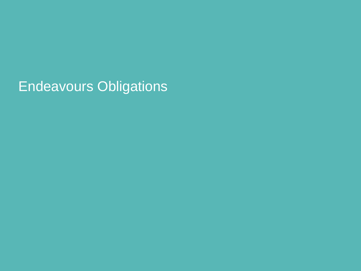Endeavours Obligations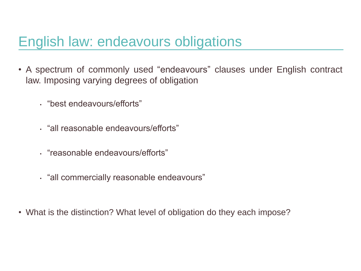## English law: endeavours obligations

- A spectrum of commonly used "endeavours" clauses under English contract law. Imposing varying degrees of obligation
	- "best endeavours/efforts"
	- "all reasonable endeavours/efforts"
	- "reasonable endeavours/efforts"
	- "all commercially reasonable endeavours"
- What is the distinction? What level of obligation do they each impose?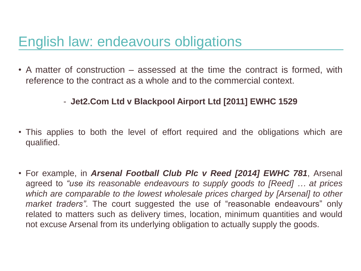## English law: endeavours obligations

• A matter of construction – assessed at the time the contract is formed, with reference to the contract as a whole and to the commercial context.

#### - **Jet2.Com Ltd v Blackpool Airport Ltd [2011] EWHC 1529**

- This applies to both the level of effort required and the obligations which are qualified.
- For example, in *Arsenal Football Club Plc v Reed [2014] EWHC 781*, Arsenal agreed to *"use its reasonable endeavours to supply goods to [Reed] … at prices which are comparable to the lowest wholesale prices charged by [Arsenal] to other market traders"*. The court suggested the use of "reasonable endeavours" only related to matters such as delivery times, location, minimum quantities and would not excuse Arsenal from its underlying obligation to actually supply the goods.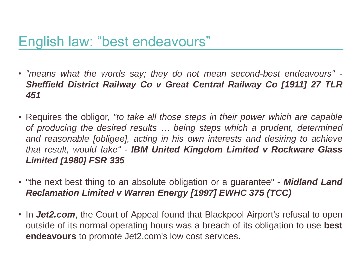## English law: "best endeavours"

- *"means what the words say; they do not mean second-best endeavours" Sheffield District Railway Co v Great Central Railway Co [1911] 27 TLR 451*
- Requires the obligor, *"to take all those steps in their power which are capable of producing the desired results … being steps which a prudent, determined and reasonable [obligee], acting in his own interests and desiring to achieve that result, would take"* - *IBM United Kingdom Limited v Rockware Glass Limited [1980] FSR 335*
- "the next best thing to an absolute obligation or a guarantee" *- Midland Land Reclamation Limited v Warren Energy [1997] EWHC 375 (TCC)*
- In *Jet2.com*, the Court of Appeal found that Blackpool Airport's refusal to open outside of its normal operating hours was a breach of its obligation to use **best endeavours** to promote Jet2.com's low cost services.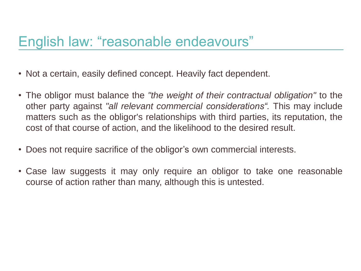## English law: "reasonable endeavours"

- Not a certain, easily defined concept. Heavily fact dependent.
- The obligor must balance the *"the weight of their contractual obligation"* to the other party against *"all relevant commercial considerations".* This may include matters such as the obligor's relationships with third parties, its reputation, the cost of that course of action, and the likelihood to the desired result.
- Does not require sacrifice of the obligor's own commercial interests.
- Case law suggests it may only require an obligor to take one reasonable course of action rather than many, although this is untested.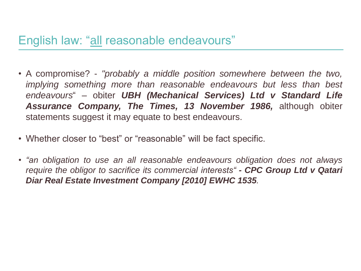### English law: "all reasonable endeavours"

- A compromise? *"probably a middle position somewhere between the two, implying something more than reasonable endeavours but less than best endeavours*" – obiter *UBH (Mechanical Services) Ltd v Standard Life Assurance Company, The Times, 13 November 1986,* although obiter statements suggest it may equate to best endeavours.
- Whether closer to "best" or "reasonable" will be fact specific.
- *"an obligation to use an all reasonable endeavours obligation does not always require the obligor to sacrifice its commercial interests" - CPC Group Ltd v Qatari Diar Real Estate Investment Company [2010] EWHC 1535.*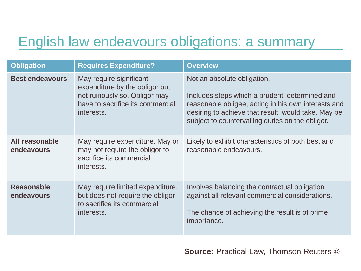## English law endeavours obligations: a summary

| <b>Obligation</b>               | <b>Requires Expenditure?</b>                                                                                                                 | <b>Overview</b>                                                                                                                                                                                                                                 |
|---------------------------------|----------------------------------------------------------------------------------------------------------------------------------------------|-------------------------------------------------------------------------------------------------------------------------------------------------------------------------------------------------------------------------------------------------|
| <b>Best endeavours</b>          | May require significant<br>expenditure by the obligor but<br>not ruinously so. Obligor may<br>have to sacrifice its commercial<br>interests. | Not an absolute obligation.<br>Includes steps which a prudent, determined and<br>reasonable obligee, acting in his own interests and<br>desiring to achieve that result, would take. May be<br>subject to countervailing duties on the obligor. |
| All reasonable<br>endeavours    | May require expenditure. May or<br>may not require the obligor to<br>sacrifice its commercial<br>interests.                                  | Likely to exhibit characteristics of both best and<br>reasonable endeavours.                                                                                                                                                                    |
| <b>Reasonable</b><br>endeavours | May require limited expenditure,<br>but does not require the obligor<br>to sacrifice its commercial<br>interests.                            | Involves balancing the contractual obligation<br>against all relevant commercial considerations.<br>The chance of achieving the result is of prime<br>importance.                                                                               |

**Source:** Practical Law, Thomson Reuters ©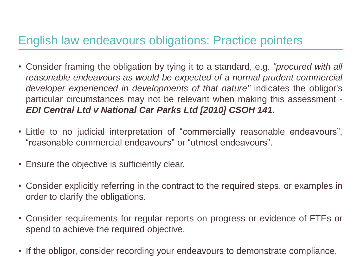### English law endeavours obligations: Practice pointers

- Consider framing the obligation by tying it to a standard, e.g. *"procured with all reasonable endeavours as would be expected of a normal prudent commercial developer experienced in developments of that nature"* indicates the obligor's particular circumstances may not be relevant when making this assessment - *EDI Central Ltd v National Car Parks Ltd [2010] CSOH 141.*
- Little to no judicial interpretation of "commercially reasonable endeavours", "reasonable commercial endeavours" or "utmost endeavours".
- Ensure the objective is sufficiently clear.
- Consider explicitly referring in the contract to the required steps, or examples in order to clarify the obligations.
- Consider requirements for regular reports on progress or evidence of FTEs or spend to achieve the required objective.
- If the obligor, consider recording your endeavours to demonstrate compliance.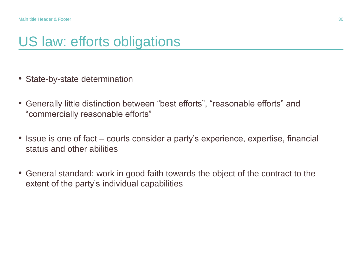### US law: efforts obligations

- State-by-state determination
- Generally little distinction between "best efforts", "reasonable efforts" and "commercially reasonable efforts"
- Issue is one of fact courts consider a party's experience, expertise, financial status and other abilities
- General standard: work in good faith towards the object of the contract to the extent of the party's individual capabilities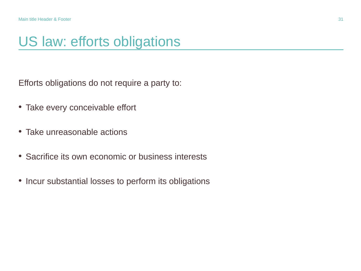### US law: efforts obligations

Efforts obligations do not require a party to:

- Take every conceivable effort
- Take unreasonable actions
- Sacrifice its own economic or business interests
- Incur substantial losses to perform its obligations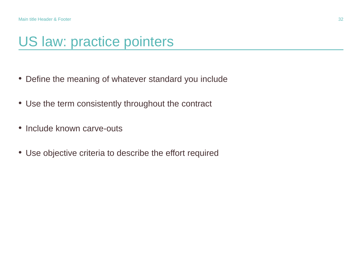## US law: practice pointers

- Define the meaning of whatever standard you include
- Use the term consistently throughout the contract
- Include known carve-outs
- Use objective criteria to describe the effort required